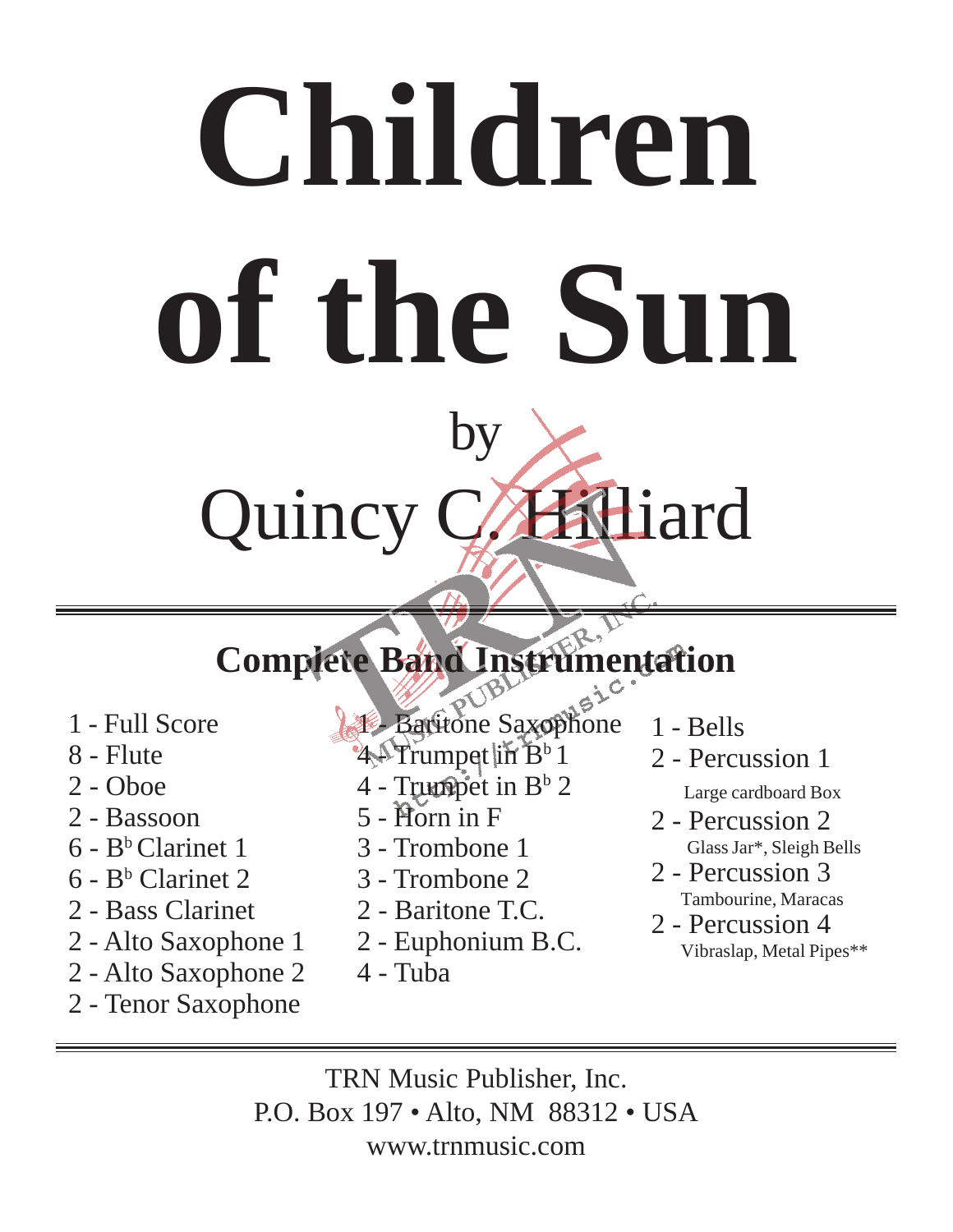# **Children of the Sun**

by

Quincy C. Hilliard

## **Complete Band Instrumentation**

- 1 Full Score
- 8 Flute
- 2 Oboe
- 2 Bassoon
- $6 B<sup>b</sup>$  Clarinet 1
- 6 Bb Clarinet 2
- 2 Bass Clarinet
- 2 Alto Saxophone 1
- 2 Alto Saxophone 2
- 2 Tenor Saxophone
- **1 Baritone Saxophone** 4 Frumpet in B<sup>b</sup> 1
	- 4 Trumpet in  $B^b$  2
	- 5 Horn in F
	- 3 Trombone 1
	- 3 Trombone 2
	- 2 Baritone T.C.
	- 2 Euphonium B.C.
	- 4 Tuba
- 1 Bells
- 2 Percussion 1
	- Large cardboard Box
- 2 Percussion 2 Glass Jar\*, Sleigh Bells
- 2 Percussion 3 Tambourine, Maracas
- 2 Percussion 4 Vibraslap, Metal Pipes\*\*

TRN Music Publisher, Inc. P.O. Box 197 • Alto, NM 88312 • USA www.trnmusic.com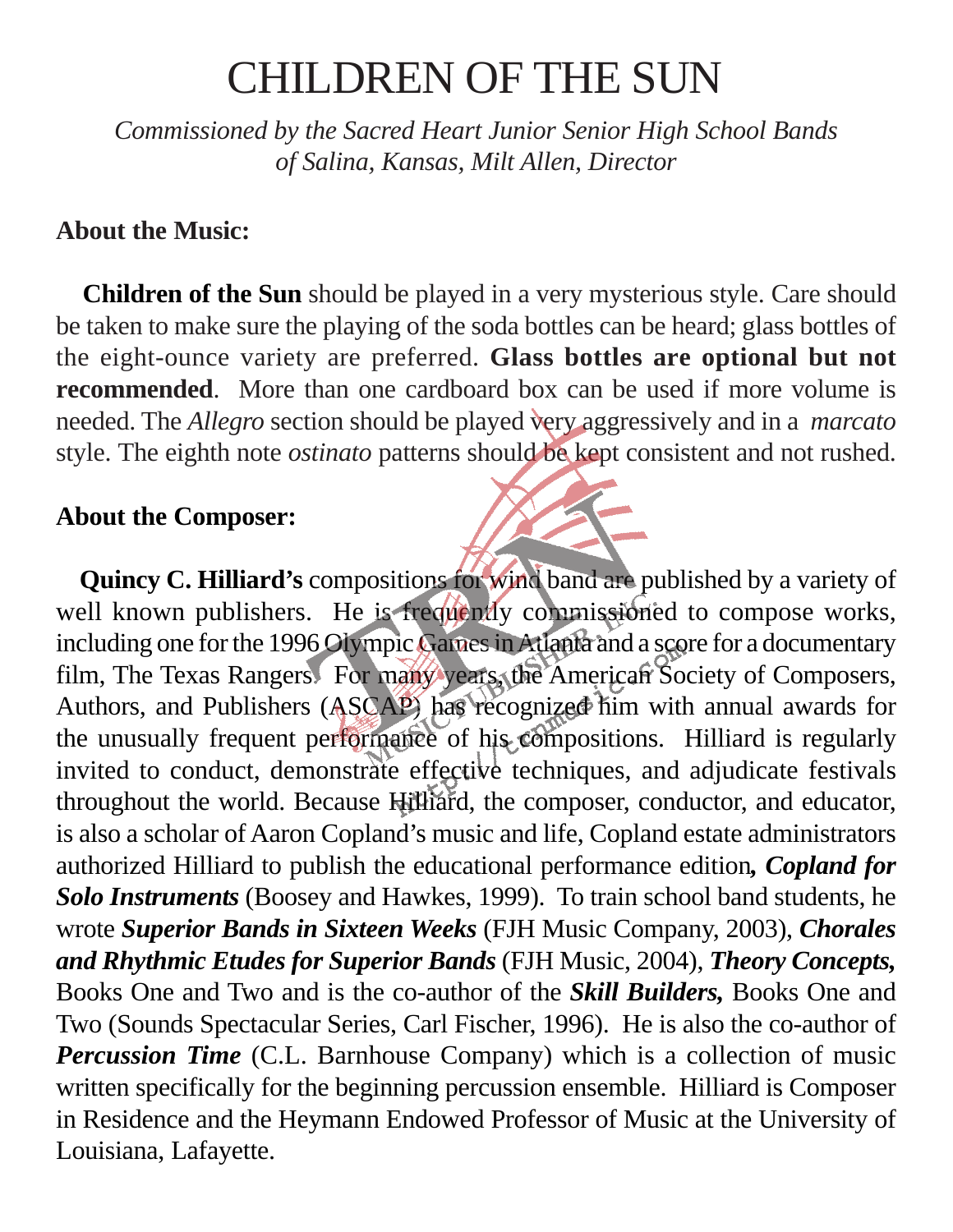*Commissioned by the Sacred Heart Junior Senior High School Bands of Salina, Kansas, Milt Allen, Director*

#### **About the Music:**

 **Children of the Sun** should be played in a very mysterious style. Care should be taken to make sure the playing of the soda bottles can be heard; glass bottles of the eight-ounce variety are preferred. **Glass bottles are optional but not recommended.** More than one cardboard box can be used if more volume is needed. The *Allegro* section should be played very aggressively and in a *marcato* style. The eighth note *ostinato* patterns should be kept consistent and not rushed.

#### **About the Composer:**

 **Quincy C. Hilliard's** compositions for wind band are published by a variety of well known publishers. He is frequently commissioned to compose works, including one for the 1996 Olympic Games in Atlanta and a score for a documentary film, The Texas Rangers. For many years, the American Society of Composers, Authors, and Publishers (ASCAP) has recognized him with annual awards for the unusually frequent performance of his compositions. Hilliard is regularly invited to conduct, demonstrate effective techniques, and adjudicate festivals throughout the world. Because Hilliard, the composer, conductor, and educator, is also a scholar of Aaron Copland's music and life, Copland estate administrators authorized Hilliard to publish the educational performance edition*, Copland for Solo Instruments* (Boosey and Hawkes, 1999). To train school band students, he wrote *Superior Bands in Sixteen Weeks* (FJH Music Company, 2003), *Chorales and Rhythmic Etudes for Superior Bands* (FJH Music, 2004), *Theory Concepts,* Books One and Two and is the co-author of the *Skill Builders,* Books One and Two (Sounds Spectacular Series, Carl Fischer, 1996). He is also the co-author of *Percussion Time* (C.L. Barnhouse Company) which is a collection of music written specifically for the beginning percussion ensemble. Hilliard is Composer in Residence and the Heymann Endowed Professor of Music at the University of Louisiana, Lafayette.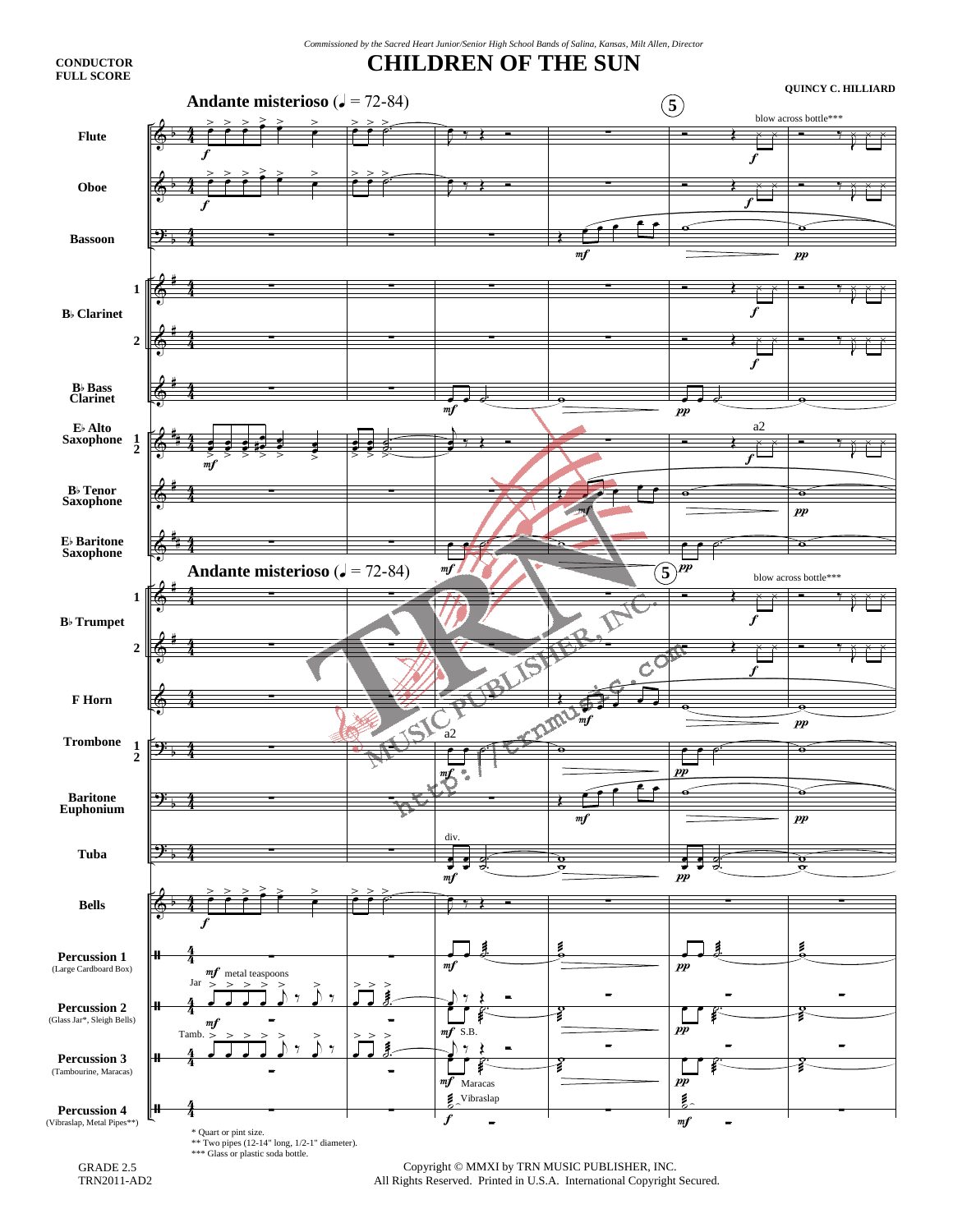*Commissioned by the Sacred Heart Junior/Senior High School Bands of Salina, Kansas, Milt Allen, Director*



#### **CHILDREN OF THE SUN**



GRADE 2.5 TRN2011-AD2

 Copyright © MMXI by TRN MUSIC PUBLISHER, INC. All Rights Reserved. Printed in U.S.A. International Copyright Secured.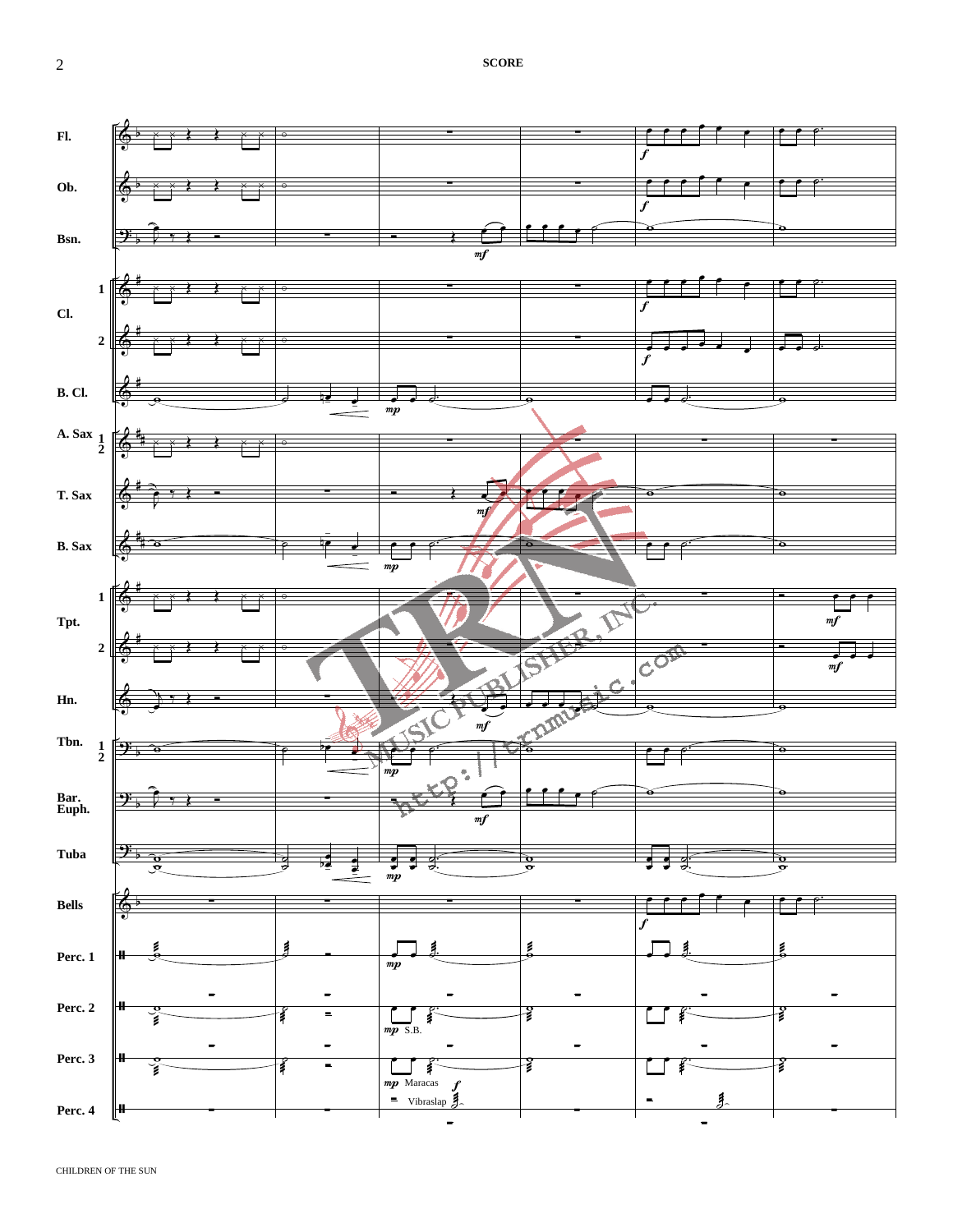

 $\overline{2}$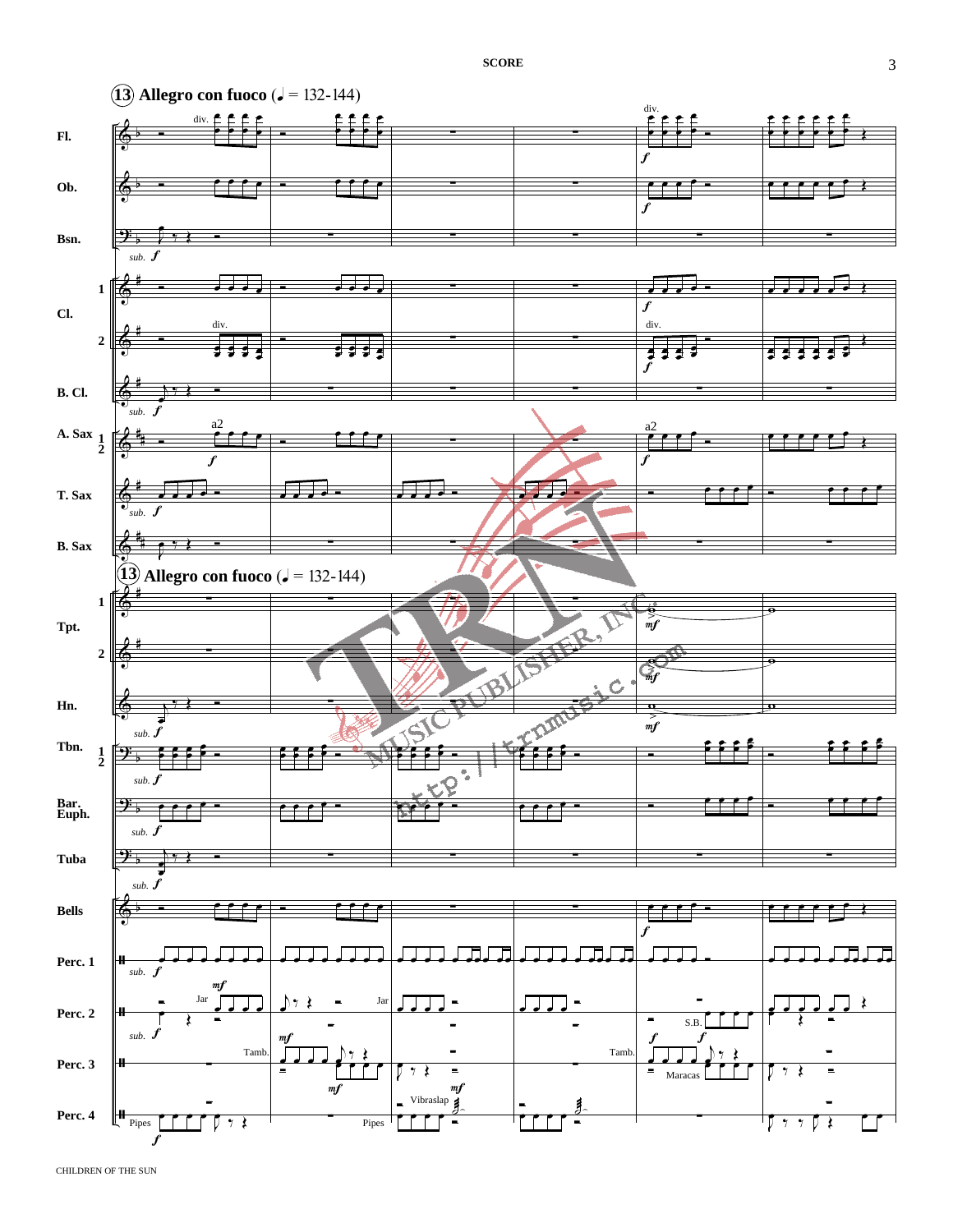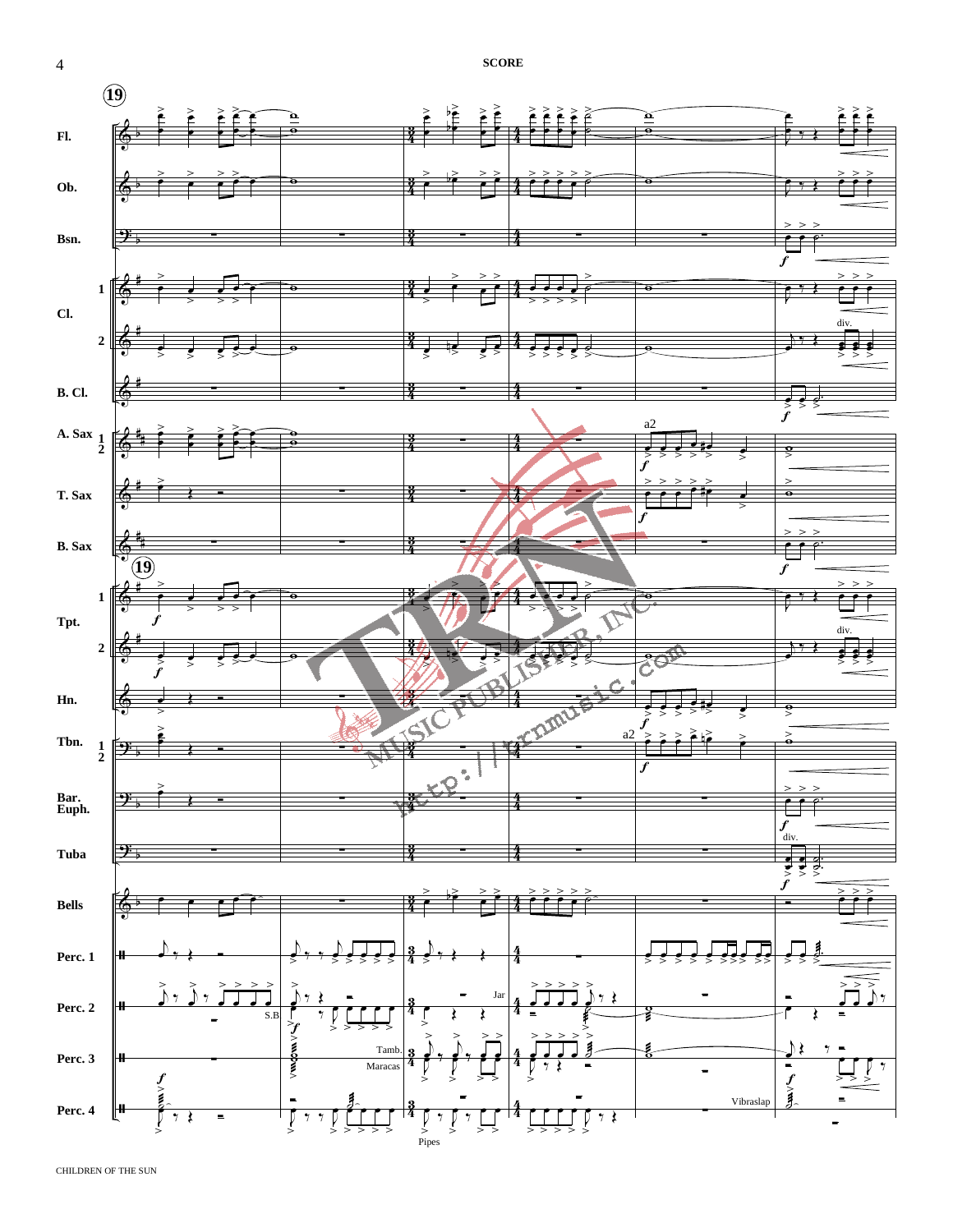

CHILDREN OF THE SUN

 $\overline{4}$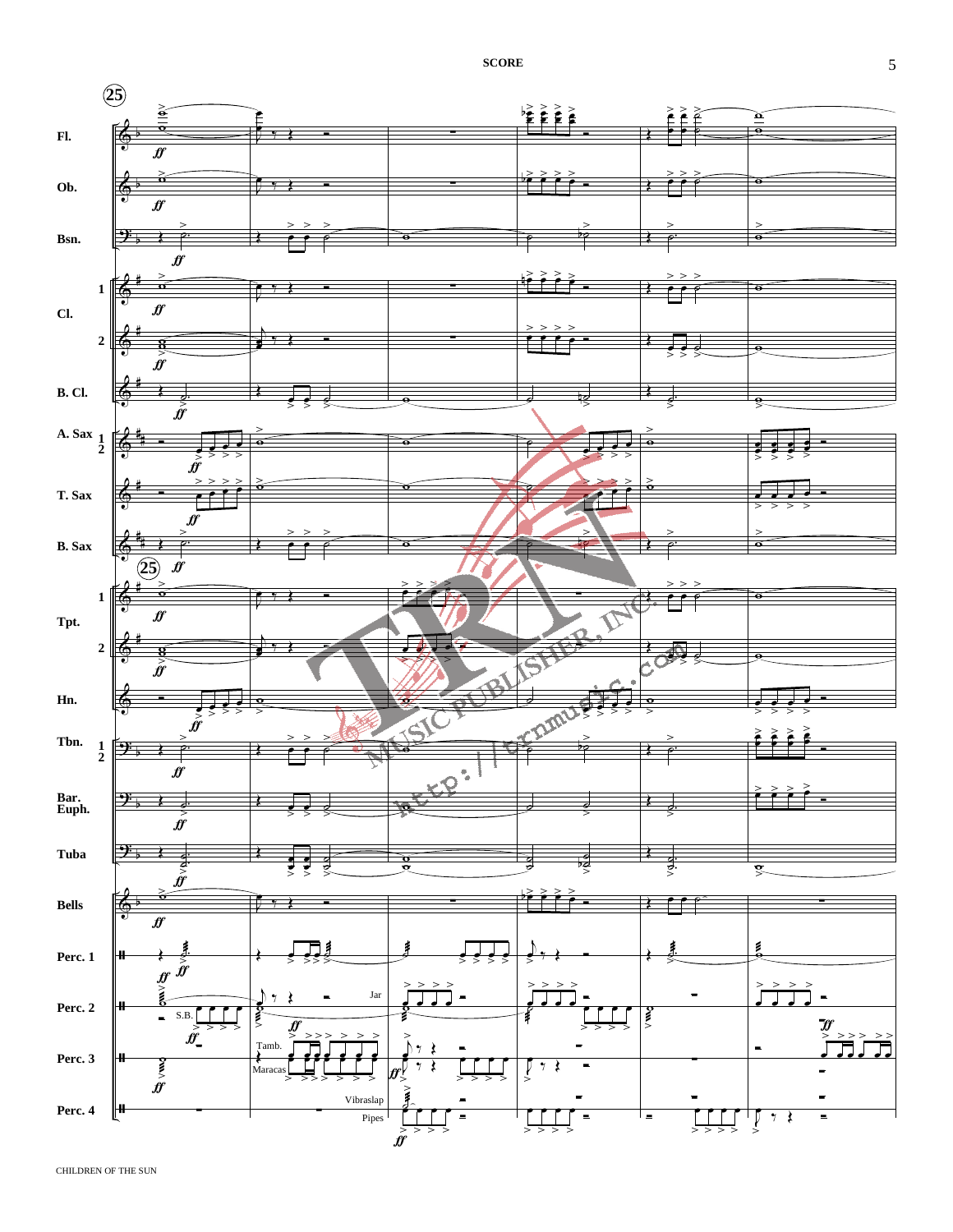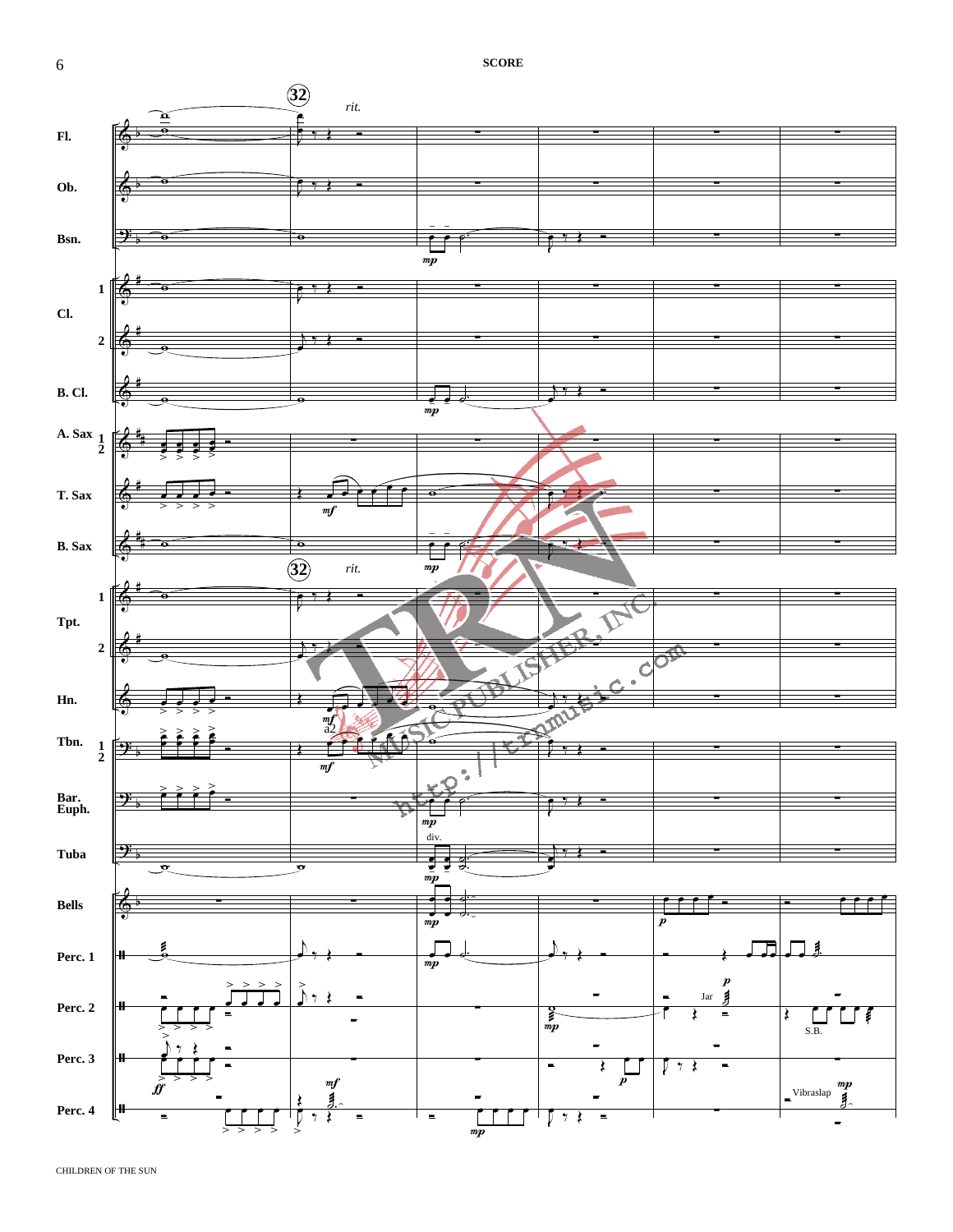

CHILDREN OF THE SUN

 $6\phantom{a}$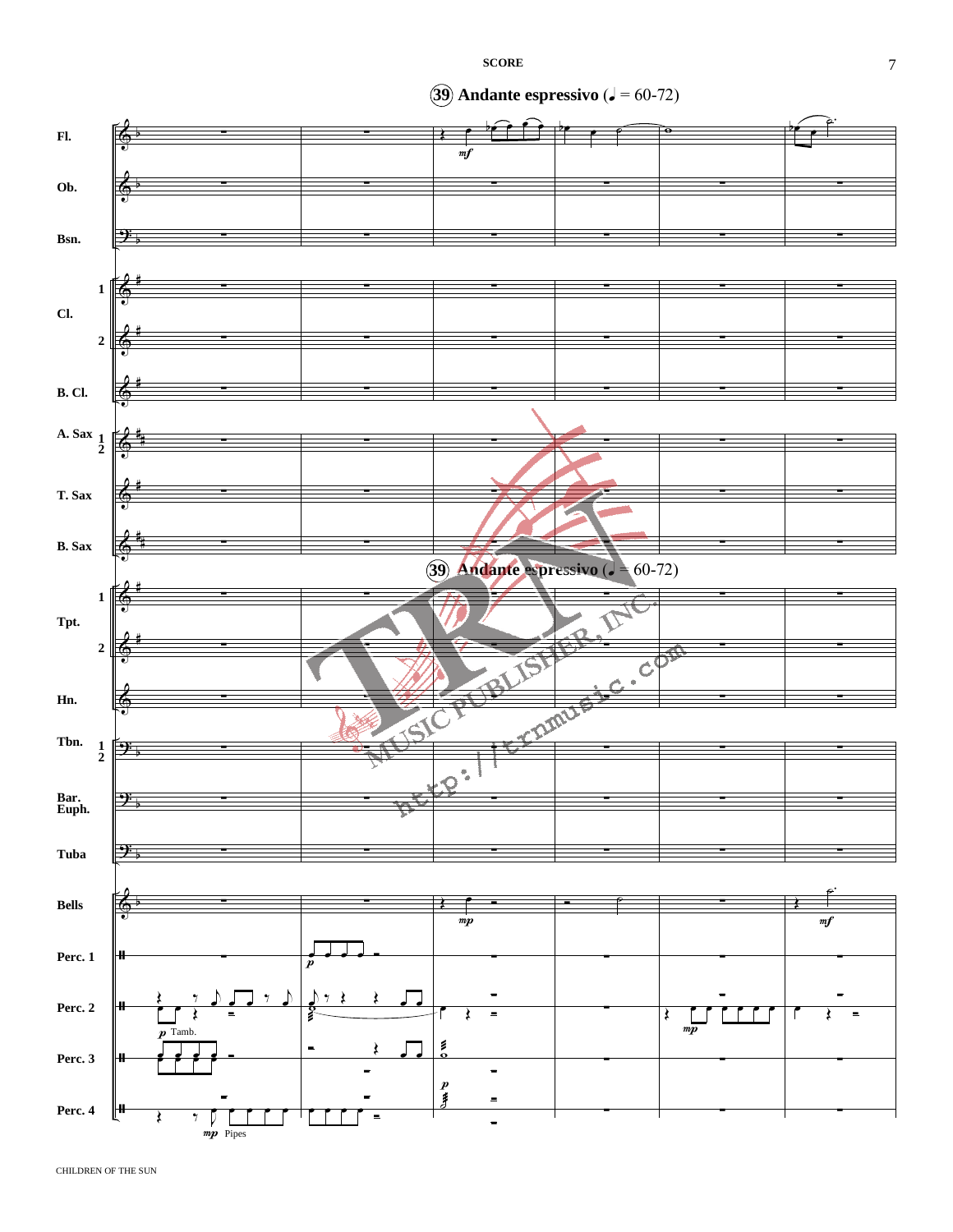**39)** Andante espressivo  $\left( \right) = 60-72$ 

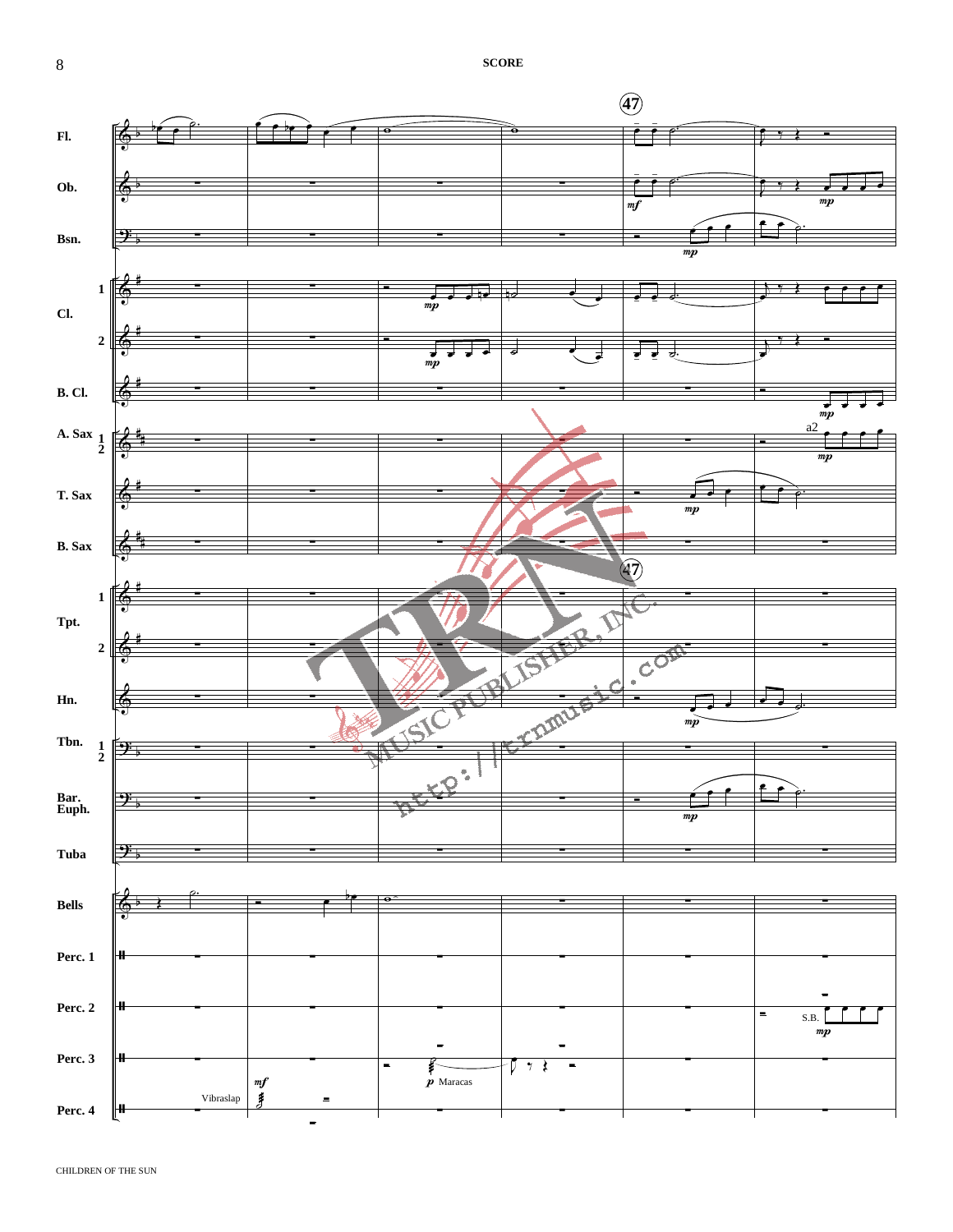

8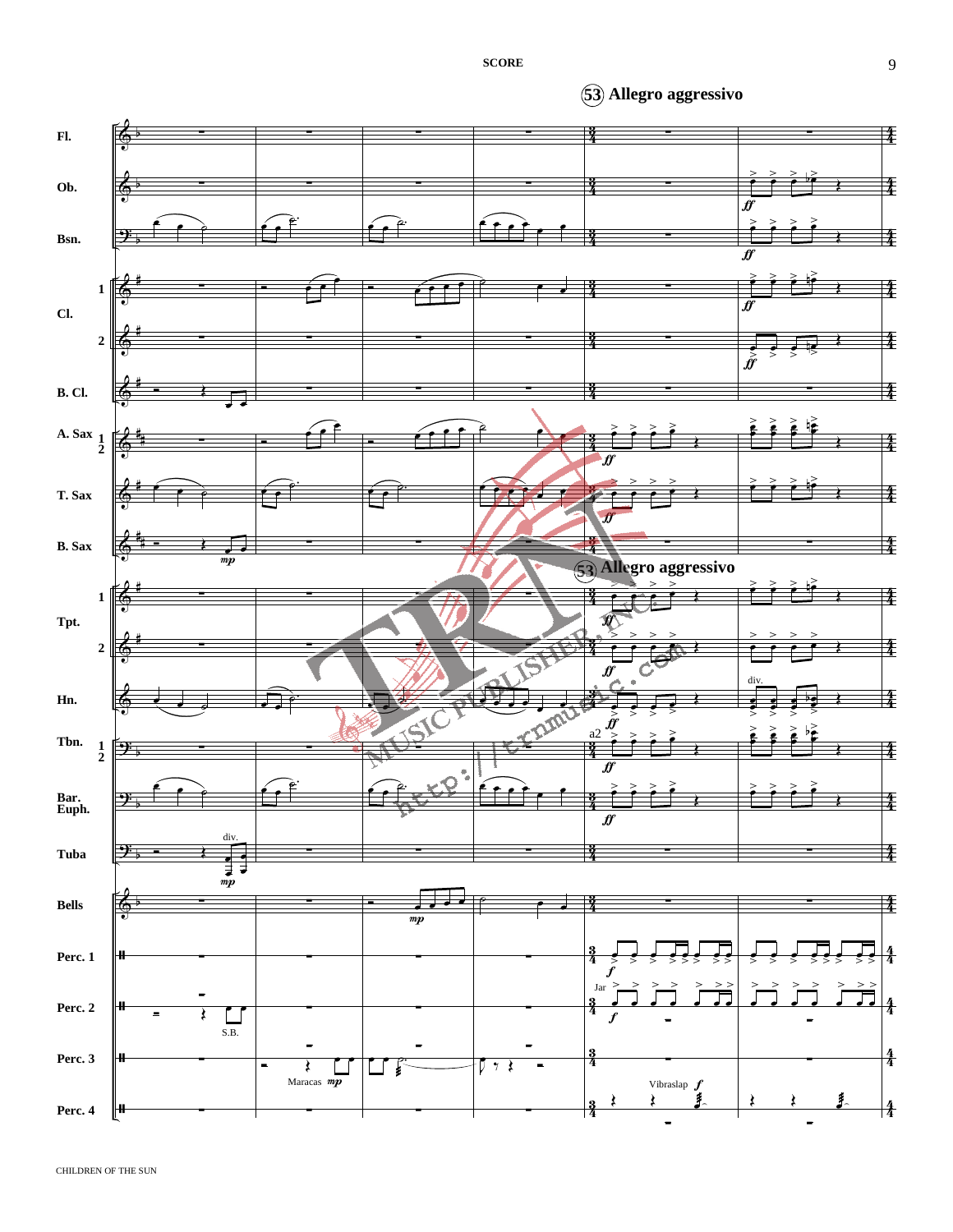(53) Allegro aggressivo

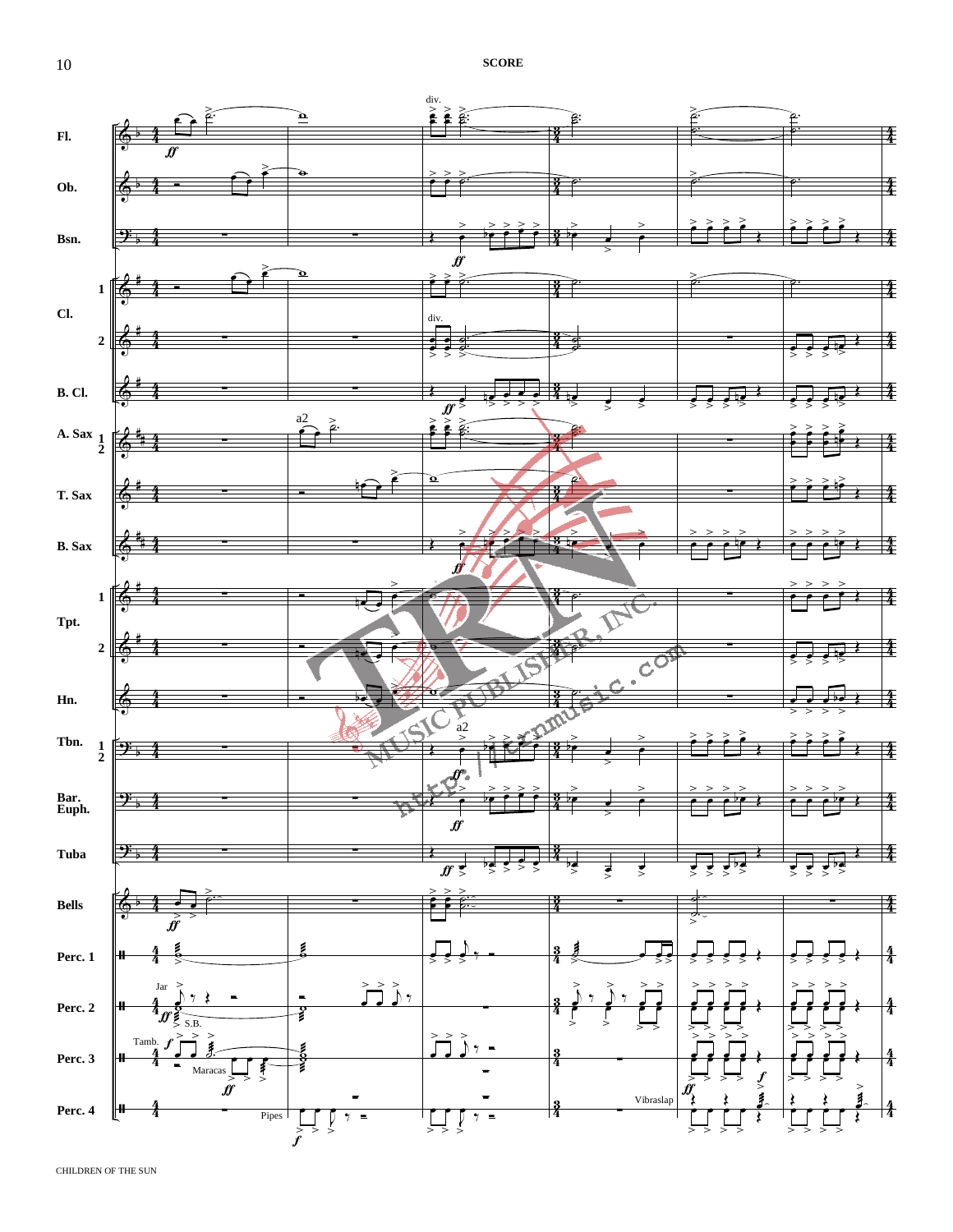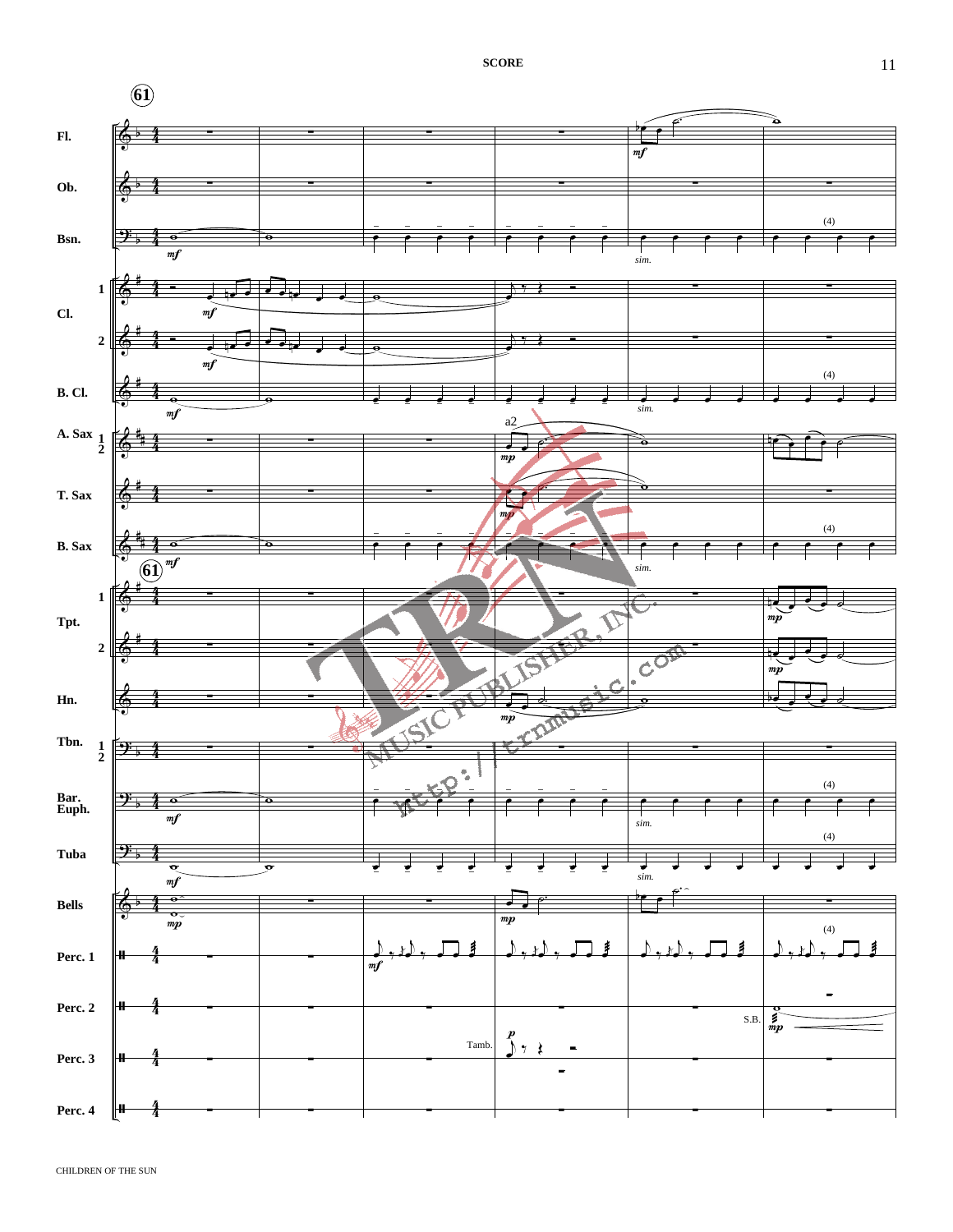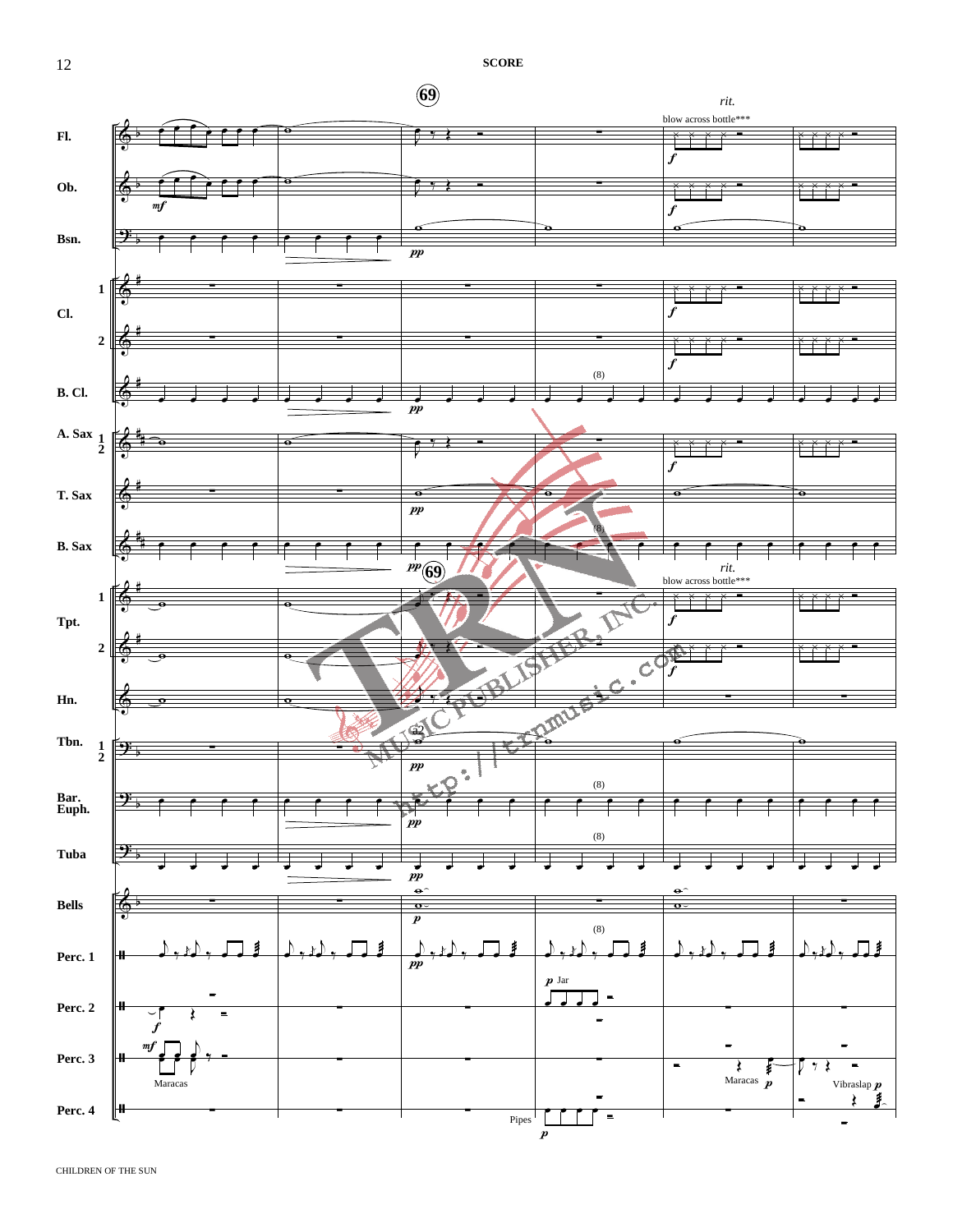

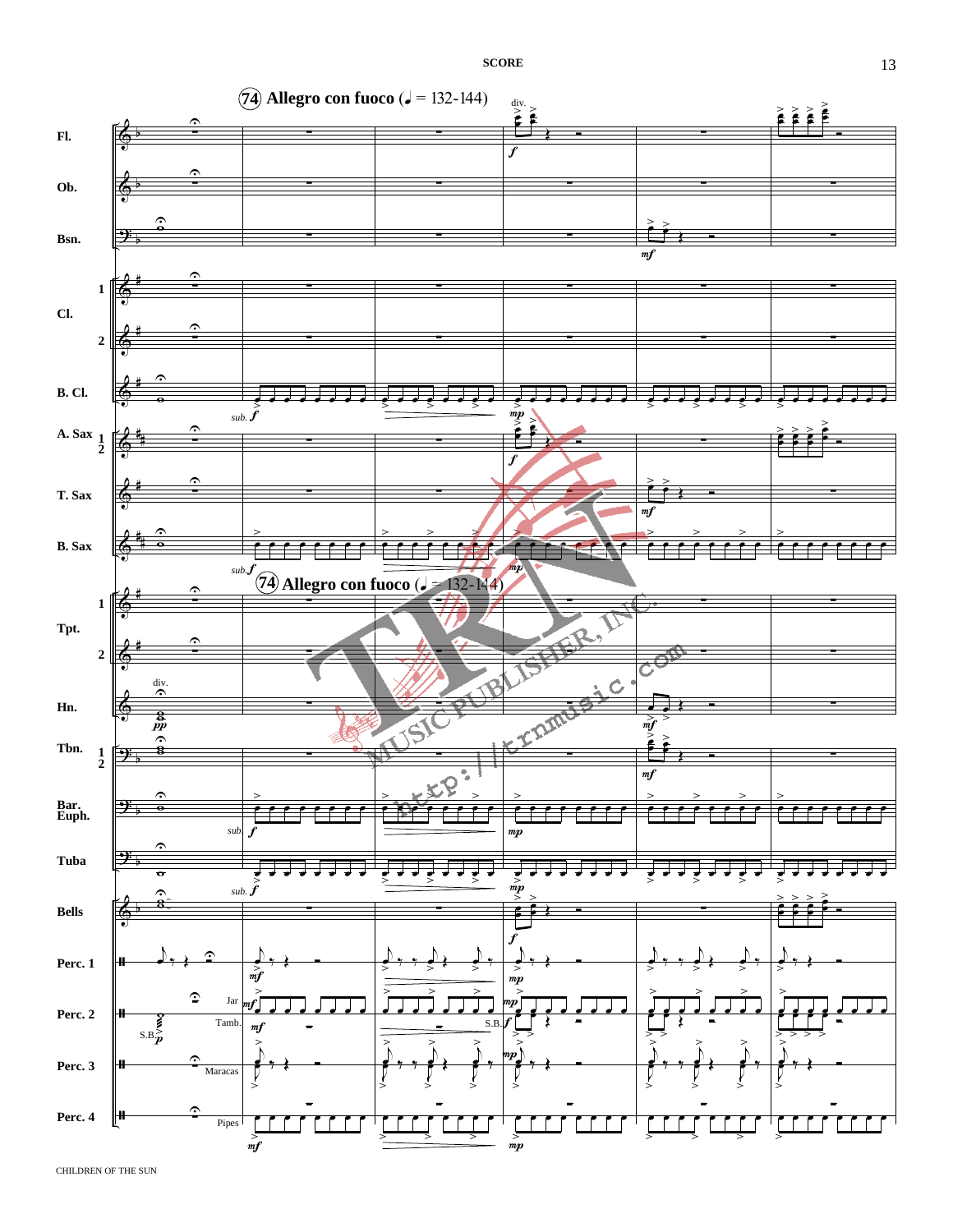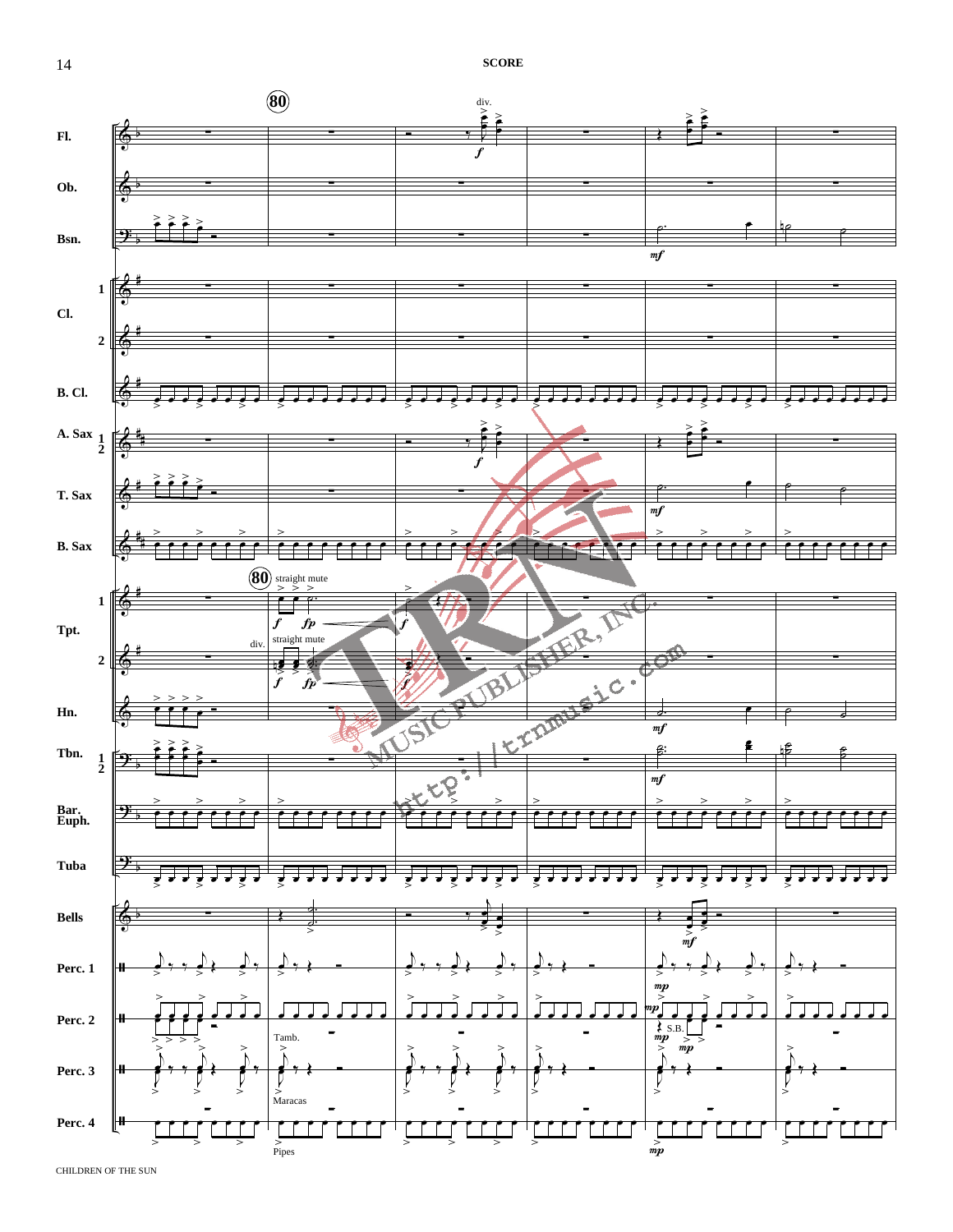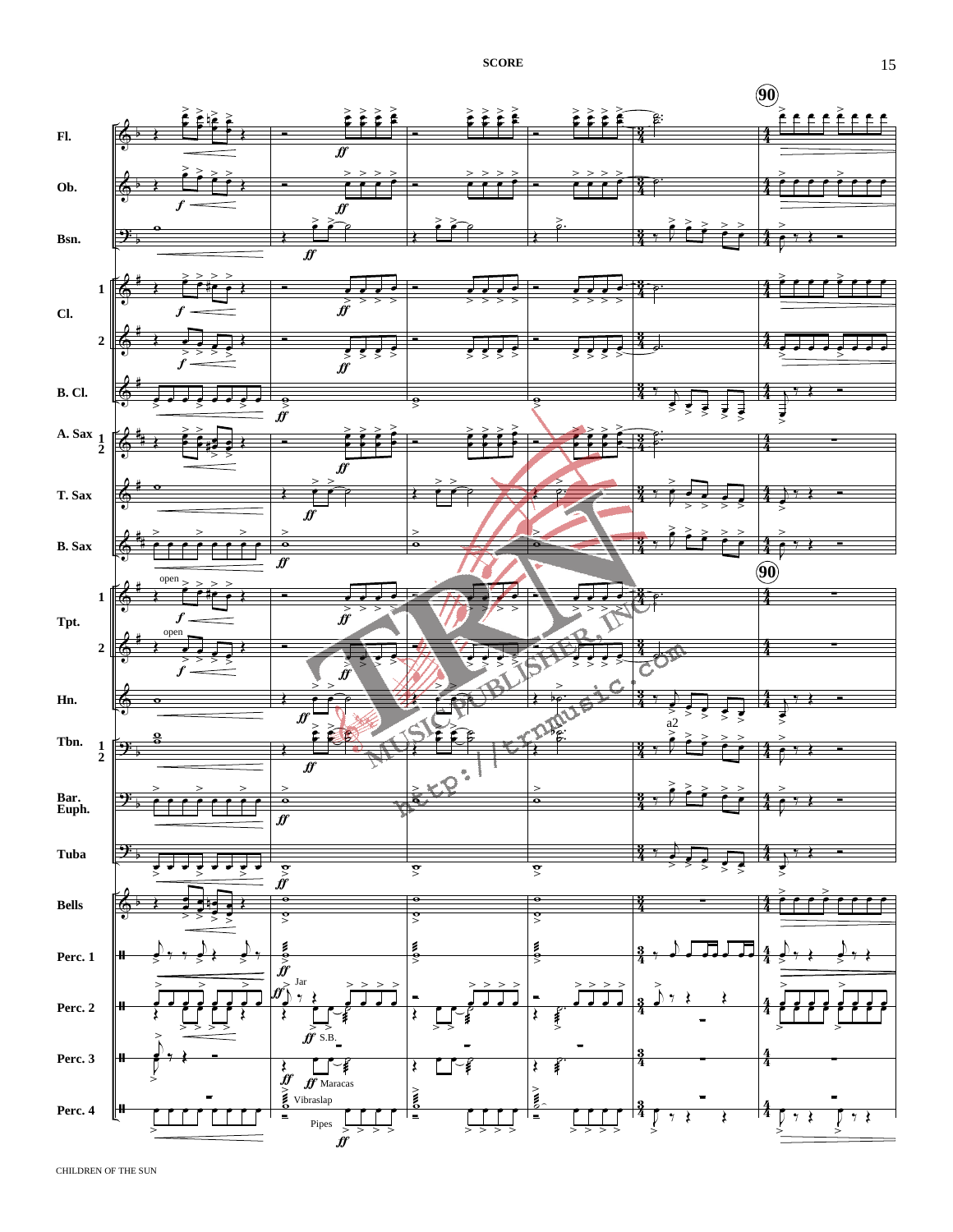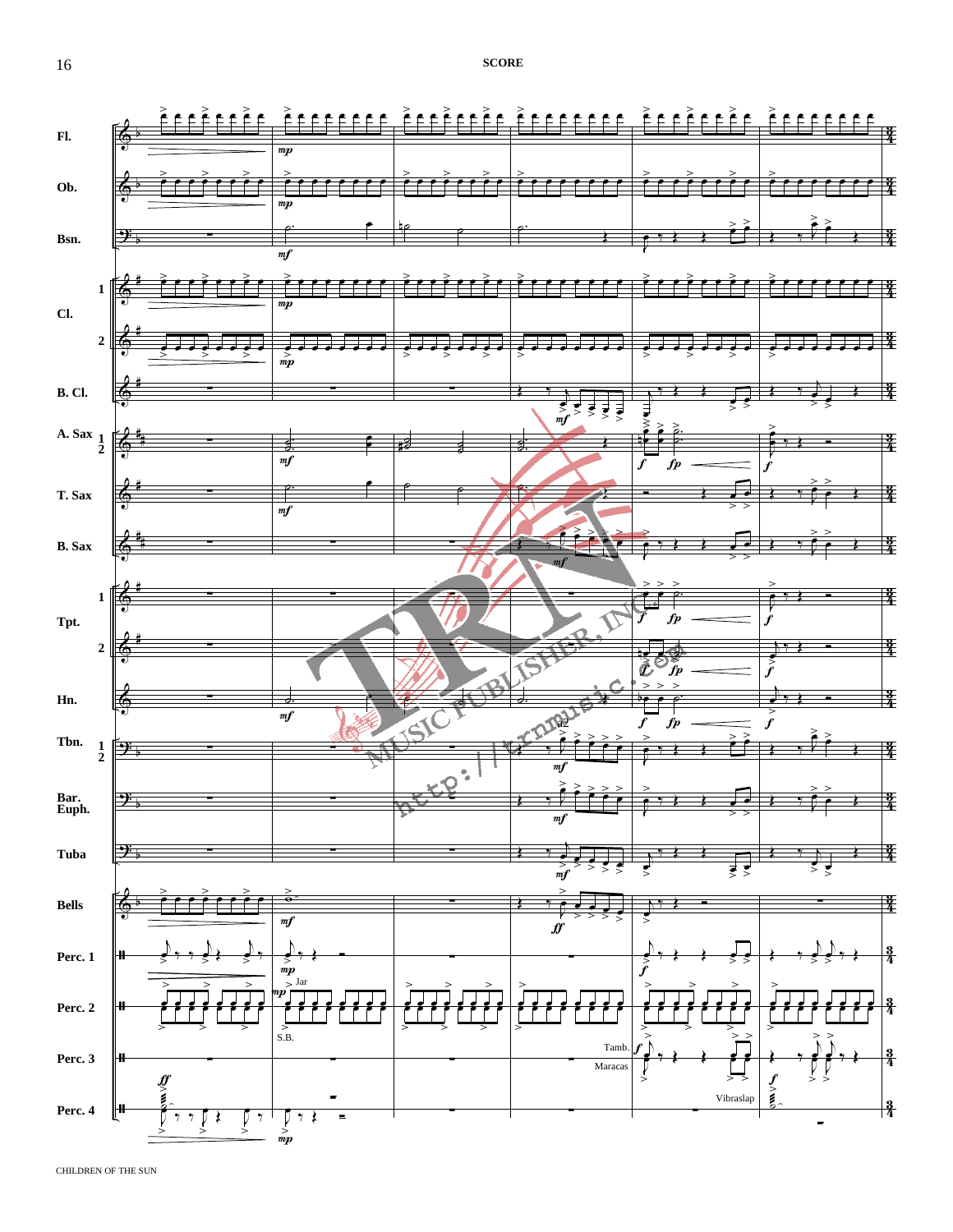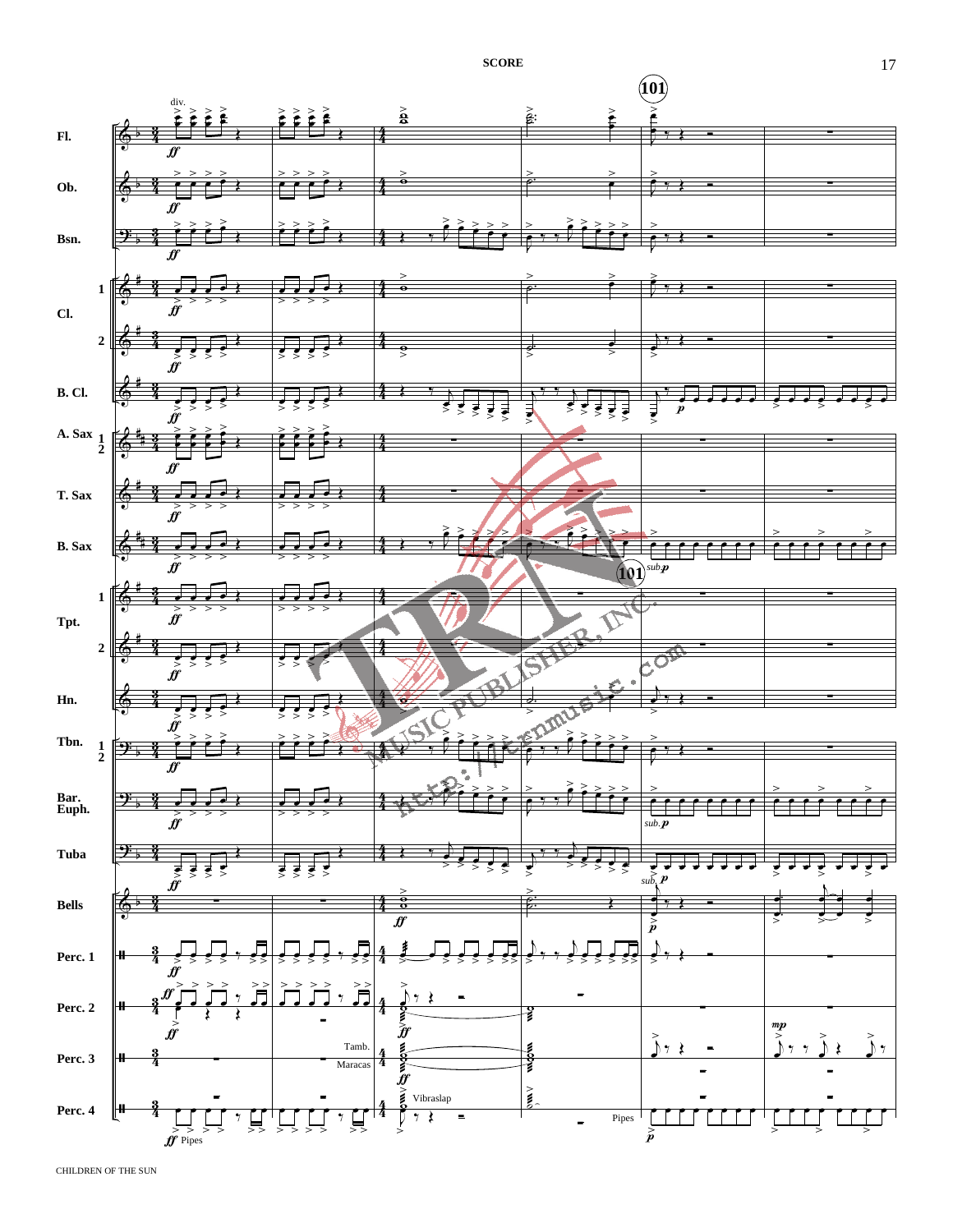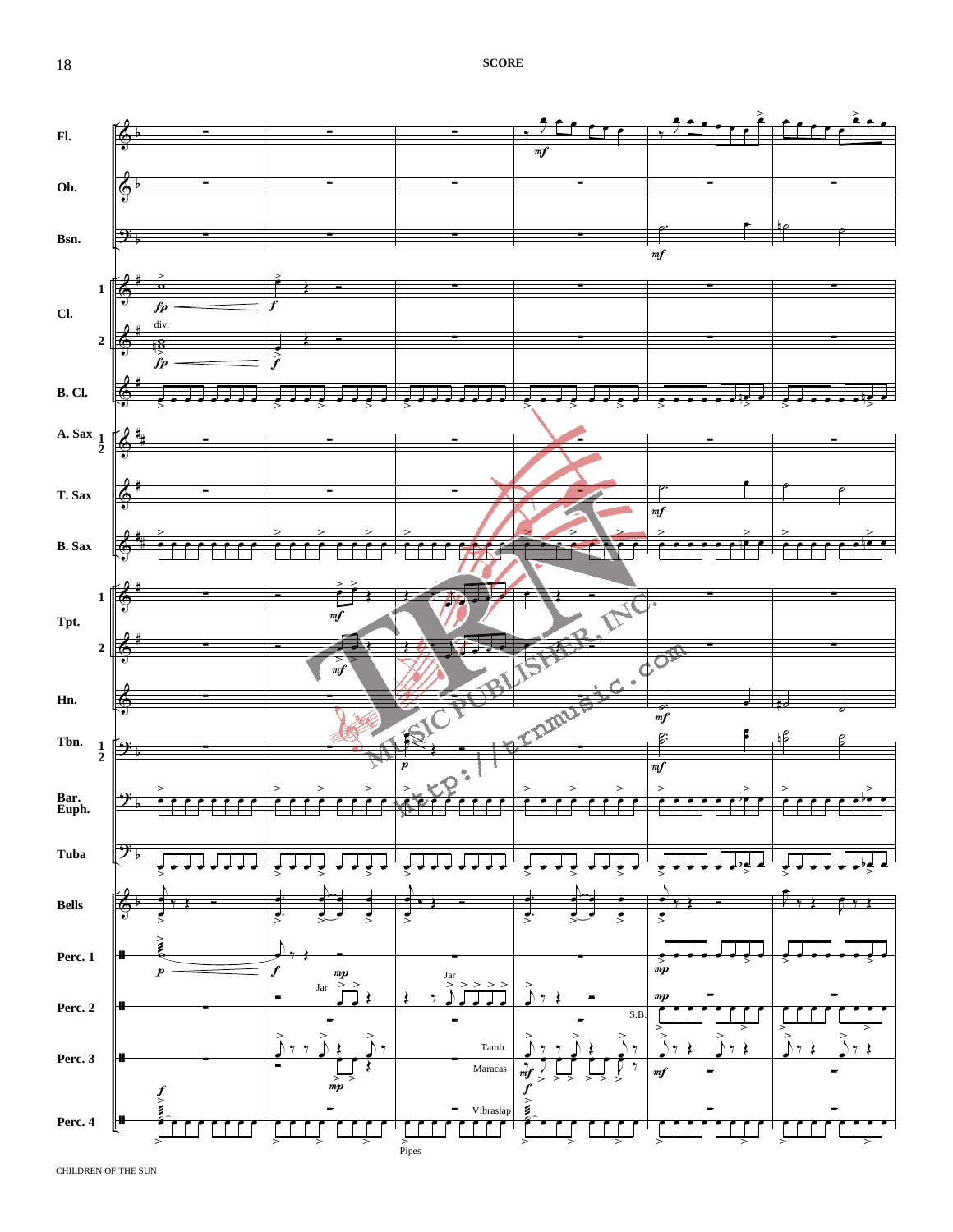

18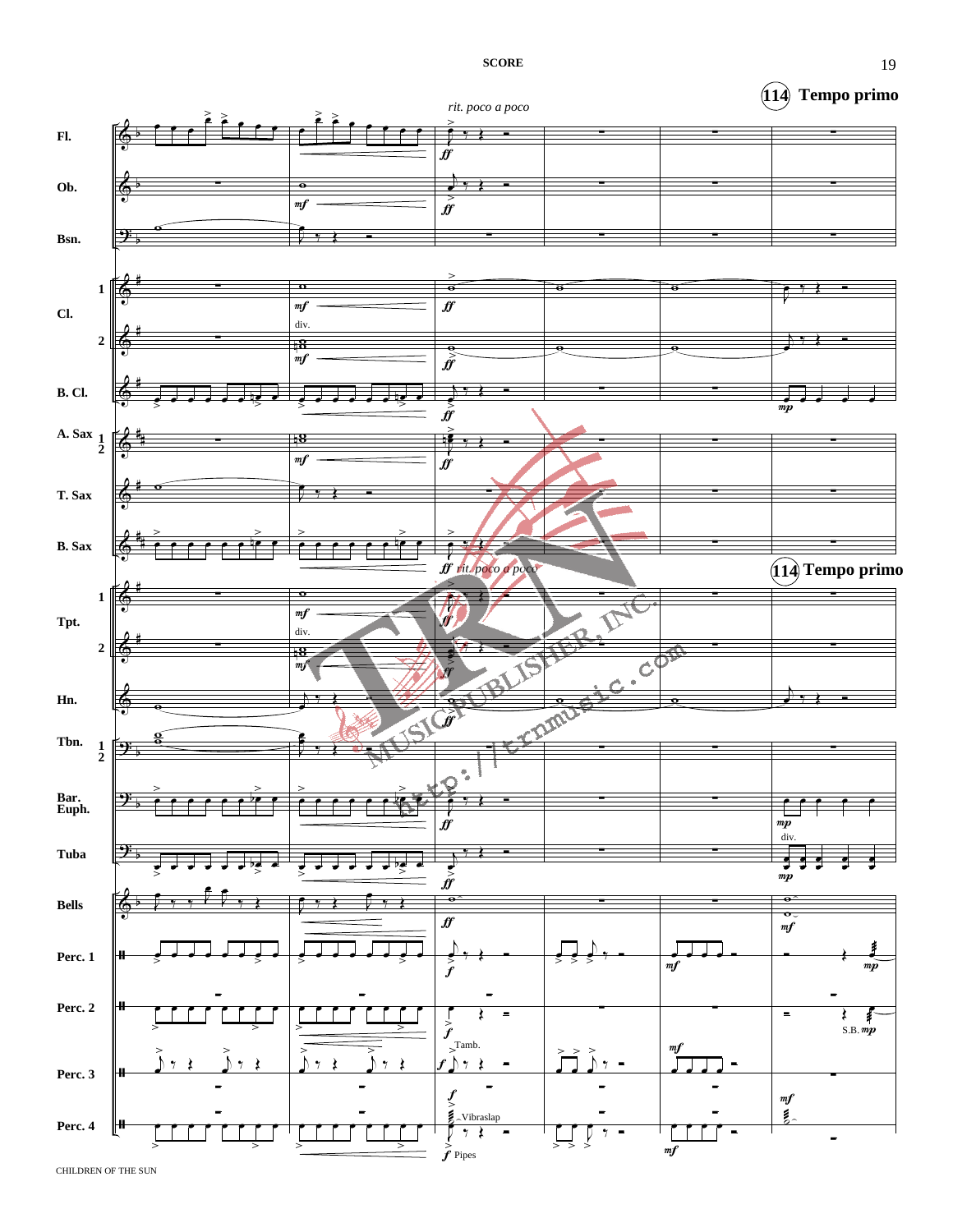19